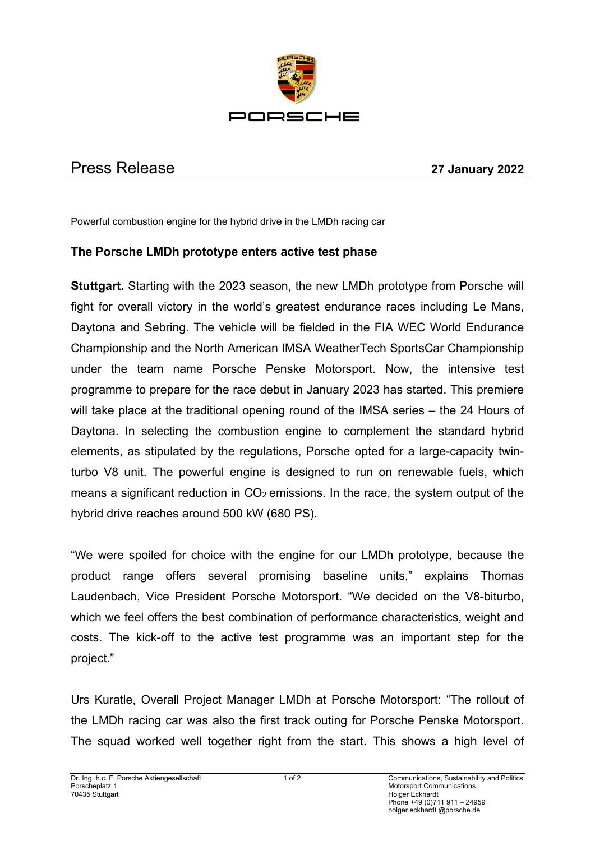

## Press Release **27 January 2022**

Powerful combustion engine for the hybrid drive in the LMDh racing car

## **The Porsche LMDh prototype enters active test phase**

**Stuttgart.** Starting with the 2023 season, the new LMDh prototype from Porsche will fight for overall victory in the world's greatest endurance races including Le Mans, Daytona and Sebring. The vehicle will be fielded in the FIA WEC World Endurance Championship and the North American IMSA WeatherTech SportsCar Championship under the team name Porsche Penske Motorsport. Now, the intensive test programme to prepare for the race debut in January 2023 has started. This premiere will take place at the traditional opening round of the IMSA series – the 24 Hours of Daytona. In selecting the combustion engine to complement the standard hybrid elements, as stipulated by the regulations, Porsche opted for a large-capacity twinturbo V8 unit. The powerful engine is designed to run on renewable fuels, which means a significant reduction in  $CO<sub>2</sub>$  emissions. In the race, the system output of the hybrid drive reaches around 500 kW (680 PS).

"We were spoiled for choice with the engine for our LMDh prototype, because the product range offers several promising baseline units," explains Thomas Laudenbach, Vice President Porsche Motorsport. "We decided on the V8-biturbo, which we feel offers the best combination of performance characteristics, weight and costs. The kick-off to the active test programme was an important step for the project."

Urs Kuratle, Overall Project Manager LMDh at Porsche Motorsport: "The rollout of the LMDh racing car was also the first track outing for Porsche Penske Motorsport. The squad worked well together right from the start. This shows a high level of